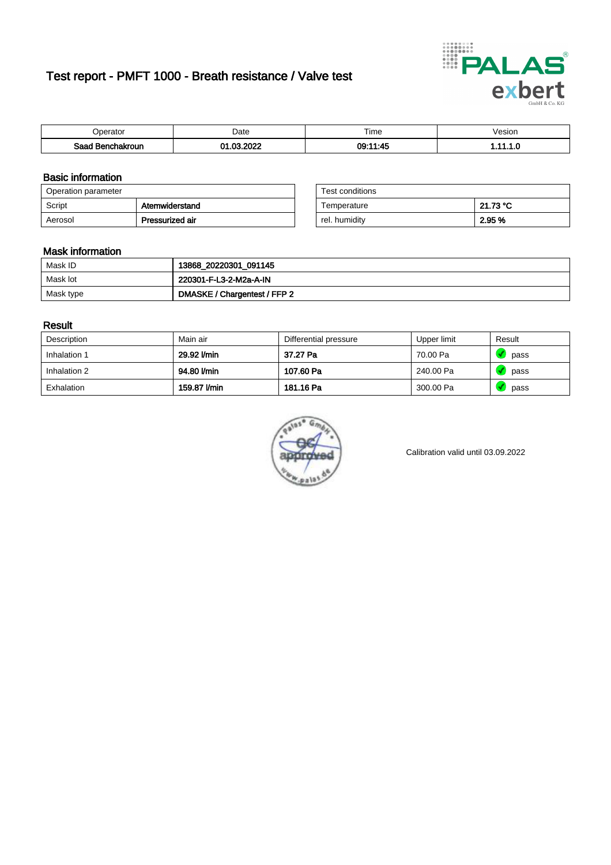# Test report - PMFT 1000 - Breath resistance / Valve test



| )perator               | Date                    | $- \cdot$<br>Гіmе | esion |
|------------------------|-------------------------|-------------------|-------|
| המס<br>hakroun<br>32 H | 000<br>ົ<br>$\sim$<br>. | 1.1F<br>09:1<br>  | .     |

### Basic information

| Operation parameter |                 | Test conditions |          |
|---------------------|-----------------|-----------------|----------|
| Script              | Atemwiderstand  | Temperature     | 21.73 °C |
| Aerosol             | Pressurized air | rel. humidity   | 2.95 %   |

| Test conditions |          |
|-----------------|----------|
| Temperature     | 21.73 °C |
| rel. humidity   | 2.95 %   |

#### Mask information

| Mask ID   | 13868_20220301_091145        |
|-----------|------------------------------|
| Mask lot  | 220301-F-L3-2-M2a-A-IN       |
| Mask type | DMASKE / Chargentest / FFP 2 |

### Result

| Description  | Main air     | Differential pressure | Upper limit | Result |
|--------------|--------------|-----------------------|-------------|--------|
| Inhalation 1 | 29.92 l/min  | 37.27 Pa              | 70.00 Pa    | pass   |
| Inhalation 2 | 94.80 l/min  | 107.60 Pa             | 240.00 Pa   | pass   |
| Exhalation   | 159.87 l/min | 181.16 Pa             | 300.00 Pa   | pass   |



Calibration valid until 03.09.2022